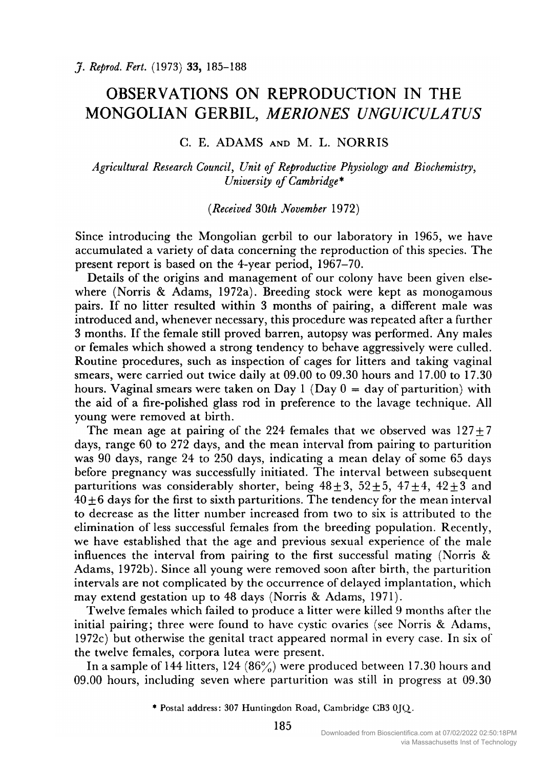# OBSERVATIONS ON REPRODUCTION IN THE MONGOLIAN GERBIL, MERIONES UNGUICULATUS

## C. E. ADAMS and M. L. NORRIS

### Agricultural Research Council, Unit of Reproductive Physiology and Biochemistry, University of Cambridge\*

#### (Received 30th November 1972)

Since introducing the Mongolian gerbil to our laboratory in 1965, we have accumulated <sup>a</sup> variety of data concerning the reproduction of this species. The present report is based on the 4-year period, 1967-70.

Details of the origins and management of our colony have been given elsewhere (Norris & Adams, 1972a). Breeding stock were kept as monogamous pairs. If no litter resulted within <sup>3</sup> months of pairing, <sup>a</sup> different male was introduced and, whenever necessary, this procedure was repeated after <sup>a</sup> further <sup>3</sup> months. If the female still proved barren, autopsy was performed. Any males or females which showed a strong tendency to behave aggressively were culled. Routine procedures, such as inspection of cages for litters and taking vaginal smears, were carried out twice daily at 09.00 to 09.30 hours and 17.00 to 17.30 hours. Vaginal smears were taken on Day <sup>1</sup> (Day <sup>0</sup> = day of parturition) with the aid of a fire-polished glass rod in preference to the lavage technique. All young were removed at birth.

The mean age at pairing of the 224 females that we observed was  $127 \pm 7$ days, range <sup>60</sup> to <sup>272</sup> days, and the mean interval from pairing to parturition was <sup>90</sup> days, range <sup>24</sup> to <sup>250</sup> days, indicating <sup>a</sup> mean delay of some <sup>65</sup> days before pregnancy was successfully initiated. The interval between subsequent parturitions was considerably shorter, being  $48 \pm 3$ ,  $52 \pm 5$ ,  $47 \pm 4$ ,  $42 \pm 3$  and  $40 \pm 6$  days for the first to sixth parturitions. The tendency for the mean interval to decrease as the litter number increased from two to six is attributed to the elimination of less successful females from the breeding population. Recently, we have established that the age and previous sexual experience of the male influences the interval from pairing to the first successful mating (Norris & Adams, 1972b). Since all young were removed soon after birth, the parturition intervals are not complicated by the occurrence of delayed implantation, which may extend gestation up to <sup>48</sup> days (Norris & Adams, 1971).

Twelve females which failed to produce <sup>a</sup> litter were killed <sup>9</sup> months after the initial pairing; three were found to have cystic ovaries (see Norris & Adams, 1972c) but otherwise the genital tract appeared normal in every case. In six of the twelve females, corpora lutea were present.

In a sample of 144 litters, 124  $(86%)$  were produced between 17.30 hours and 09.00 hours, including seven where parturition was still in progress at 09.30

\* Postal address: <sup>307</sup> Huntingdon Road, Cambridge CB3 0JO\_.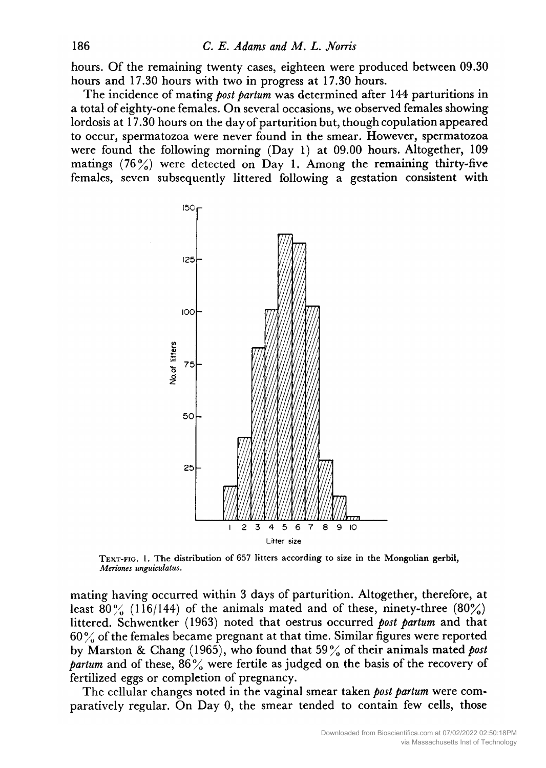hours. Of the remaining twenty cases, eighteen were produced between 09.30 hours and 17.30 hours with two in progress at 17.30 hours.

The incidence of mating *post partum* was determined after 144 parturitions in <sup>a</sup> total of eighty-one females. On several occasions, we observed females showing lordosis at 17.30 hours on the day of parturition but, though copulation appeared to occur, spermatozoa were never found in the smear. However, spermatozoa were found the following morning (Day 1) at 09.00 hours. Altogether, <sup>109</sup> matings  $(76\%)$  were detected on Day 1. Among the remaining thirty-five females, seven subsequently littered following <sup>a</sup> gestation consistent with



Text-fig. 1. The distribution of <sup>657</sup> litters according to size in the Mongolian gerbil, Meriones unguiculatus.

mating having occurred within <sup>3</sup> days of parturition. Altogether, therefore, at least  $80\%$  (116/144) of the animals mated and of these, ninety-three (80%) littered. Schwentker (1963) noted that oestrus occurred post partum and that  $60\%$  of the females became pregnant at that time. Similar figures were reported by Marston & Chang (1965), who found that 59% of their animals mated post partum and of these,  $86\%$  were fertile as judged on the basis of the recovery of fertilized eggs or completion of pregnancy.

The cellular changes noted in the vaginal smear taken *post partum* were comparatively regular. On Day 0, the smear tended to contain few cells, those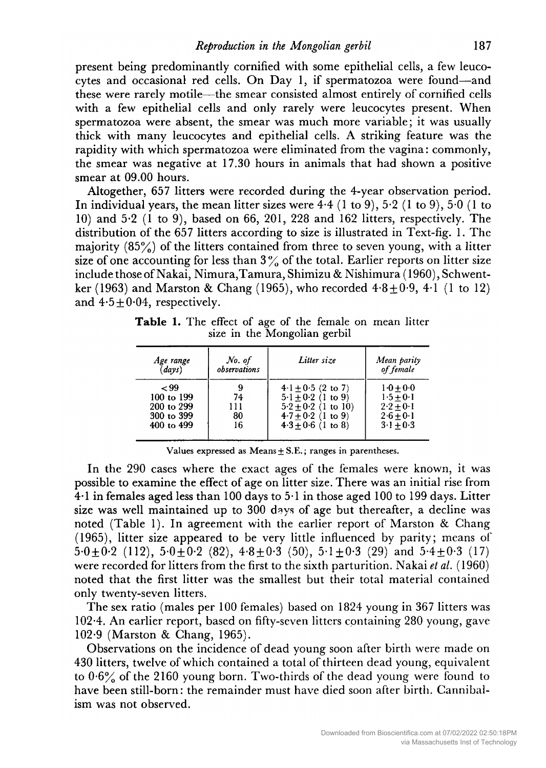present being predominantly cornified with some epithelial cells, a few leucocytes and occasional red cells. On Day 1, if spermatozoa were found—and these were rarely motile—the smear consisted almost entirely of cornified cells with <sup>a</sup> few epithelial cells and only rarely were leucocytes present. When spermatozoa were absent, the smear was much more variable; it was usually thick with many leucocytes and epithelial cells. A striking feature was the rapidity with which spermatozoa were eliminated from the vagina : commonly, the smear was negative at 17.30 hours in animals that had shown <sup>a</sup> positive smear at 09.00 hours.

Altogether, <sup>657</sup> litters were recorded during the 4-year observation period. In individual years, the mean litter sizes were  $4.4$  (1 to 9),  $5.2$  (1 to 9),  $5.0$  (1 to 10) and 5-2 (1 to 9), based on 66, 201, <sup>228</sup> and <sup>162</sup> litters, respectively. The distribution of the <sup>657</sup> litters according to size is illustrated in Text-fig. 1. The majority  $(85\%)$  of the litters contained from three to seven young, with a litter size of one accounting for less than  $3\%$  of the total. Earlier reports on litter size include those of Nakai, Nimura, Tamura, Shimizu & Nishimura (1960), Schwentker (1963) and Marston & Chang (1965), who recorded  $4.8 \pm 0.9$ ,  $4.1$  (1 to 12) and  $4.5 \pm 0.04$ , respectively.

Table 1. The effect of age of the female on mean litter size in the Mongolian gerbil

| Age range  | No. of       | Litter size            | Mean parity             |
|------------|--------------|------------------------|-------------------------|
| (days)     | observations |                        | of female               |
| ~109       | 9            | $4.1 + 0.5$ (2 to 7)   | $1 - 0 + 0 - 0$         |
| 100 to 199 | 74           | $5.1 + 0.2$ (1 to 9)   | $1.5 + 0.1$             |
| 200 to 299 | 111          | $5.2 + 0.2$ (1 to 10)  | $2 \cdot 2 + 0 \cdot 1$ |
| 300 to 399 | 80           | $4.7 \pm 0.2$ (1 to 9) | $2.6 + 0.1$             |
| 400 to 499 | 16           | $4.3 + 0.6$ (1 to 8)   | $3 \cdot 1 + 0 \cdot 3$ |

Values expressed as  $Means \pm S.E.;$  ranges in parentheses.

In the <sup>290</sup> cases where the exact ages of the females were known, it was possible to examine the effect of age on litter size. There was an initial rise from 4-1 in females aged less than <sup>100</sup> days to 5-1 in those aged <sup>100</sup> to <sup>199</sup> days. Litter size was well maintained up to <sup>300</sup> days of age but thereafter, <sup>a</sup> decline was noted (Table 1). In agreement with the earlier report of Marston & Chang (1965), litter size appeared to be very little influenced by parity; means of  $5.0 \pm 0.2$  (112),  $5.0 \pm 0.2$  (82),  $4.8 \pm 0.3$  (50),  $5.1 \pm 0.3$  (29) and  $5.4 \pm 0.3$  (17) were recorded for litters from the first to the sixth parturition. Nakai *et al.* (1960) noted that the first litter was the smallest but their total material contained only twenty-seven litters.

The sex ratio (males per <sup>100</sup> females) based on <sup>1824</sup> young in <sup>367</sup> litters was 102-4. An earlier report, based on fifty-seven litters containing <sup>280</sup> young, gave 102-9 (Marston & Chang, 1965).

Observations on the incidence of dead young soon after birth were made on <sup>430</sup> litters, twelve of which contained <sup>a</sup> total of thirteen dead young, equivalent to 0-6% of the <sup>2160</sup> young born. Two-thirds of the dead young were found to have been still-born: the remainder must have died soon after birth. Cannibalism was not observed.